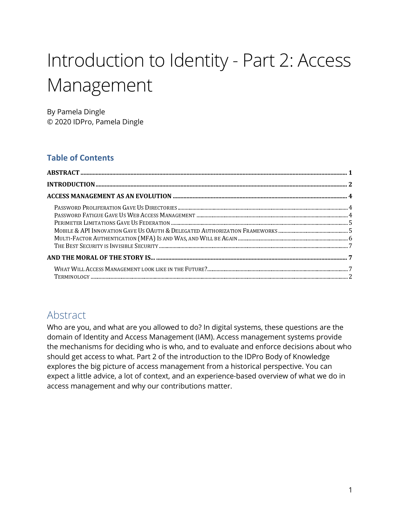# Introduction to Identity - Part 2: Access Management

By Pamela Dingle © 2020 IDPro, Pamela Dingle

#### **Table of Contents**

# Abstract

 Who are you, and what are you allowed to do? In digital systems, these questions are the domain of Identity and Access Management (IAM). Access management systems provide the mechanisms for deciding who is who, and to evaluate and enforce decisions about who should get access to what. Part 2 of the introduction to the IDPro Body of Knowledge explores the big picture of access management from a historical perspective. You can expect a little advice, a lot of context, and an experience-based overview of what we do in access management and why our contributions matter.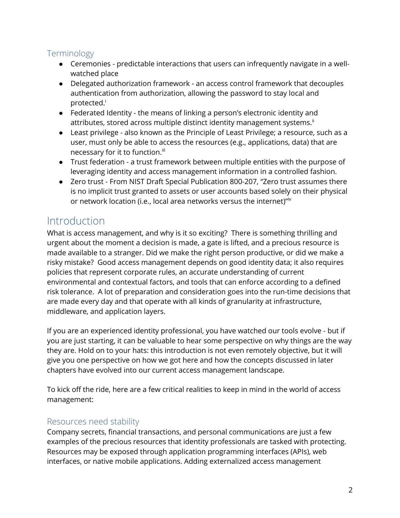# Terminology

- ● Ceremonies predictable interactions that users can infrequently navigate in a wellwatched place
- authentication from authorization, allowing the password to stay local and protected.<sup>i</sup> ● Delegated authorization framework - an access control framework that decouples
- attributes, stored across multiple distinct identity management systems.<sup>ii</sup> ● Federated Identity - the means of linking a person's electronic identity and
- ● Least privilege also known as the Principle of Least Privilege; a resource, such as a user, must only be able to access the resources (e.g., applications, data) that are necessary for it to function.<sup>iii</sup>
- ● Trust federation a trust framework between multiple entities with the purpose of leveraging identity and access management information in a controlled fashion.
- ● Zero trust From NIST Draft Special Publication 800-207, "Zero trust assumes there or network location (i.e., local area networks versus the internet)"iv is no implicit trust granted to assets or user accounts based solely on their physical

# **Introduction**

 What is access management, and why is it so exciting? There is something thrilling and urgent about the moment a decision is made, a gate is lifted, and a precious resource is made available to a stranger. Did we make the right person productive, or did we make a policies that represent corporate rules, an accurate understanding of current environmental and contextual factors, and tools that can enforce according to a defined are made every day and that operate with all kinds of granularity at infrastructure, middleware, and application layers. risky mistake? Good access management depends on good identity data; it also requires risk tolerance. A lot of preparation and consideration goes into the run-time decisions that

 If you are an experienced identity professional, you have watched our tools evolve - but if you are just starting, it can be valuable to hear some perspective on why things are the way they are. Hold on to your hats: this introduction is not even remotely objective, but it will give you one perspective on how we got here and how the concepts discussed in later chapters have evolved into our current access management landscape.

 To kick off the ride, here are a few critical realities to keep in mind in the world of access management:

## Resources need stability

 Company secrets, financial transactions, and personal communications are just a few examples of the precious resources that identity professionals are tasked with protecting. Resources may be exposed through application programming interfaces (APIs), web interfaces, or native mobile applications. Adding externalized access management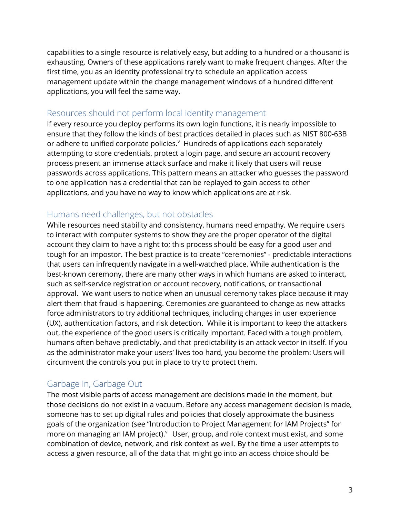capabilities to a single resource is relatively easy, but adding to a hundred or a thousand is exhausting. Owners of these applications rarely want to make frequent changes. After the first time, you as an identity professional try to schedule an application access management update within the change management windows of a hundred different applications, you will feel the same way.

#### Resources should not perform local identity management

or adhere to unified corporate policies.<sup>v</sup> Hundreds of applications each separately attempting to store credentials, protect a login page, and secure an account recovery process present an immense attack surface and make it likely that users will reuse passwords across applications. This pattern means an attacker who guesses the password applications, and you have no way to know which applications are at risk. If every resource you deploy performs its own login functions, it is nearly impossible to ensure that they follow the kinds of best practices detailed in places such as NIST 800-63B to one application has a credential that can be replayed to gain access to other

#### Humans need challenges, but not obstacles

 While resources need stability and consistency, humans need empathy. We require users account they claim to have a right to; this process should be easy for a good user and tough for an impostor. The best practice is to create "ceremonies" - predictable interactions that users can infrequently navigate in a well-watched place. While authentication is the best-known ceremony, there are many other ways in which humans are asked to interact, such as self-service registration or account recovery, notifications, or transactional approval. We want users to notice when an unusual ceremony takes place because it may alert them that fraud is happening. Ceremonies are guaranteed to change as new attacks out, the experience of the good users is critically important. Faced with a tough problem, as the administrator make your users' lives too hard, you become the problem: Users will circumvent the controls you put in place to try to protect them. to interact with computer systems to show they are the proper operator of the digital force administrators to try additional techniques, including changes in user experience (UX), authentication factors, and risk detection. While it is important to keep the attackers humans often behave predictably, and that predictability is an attack vector in itself. If you

## Garbage In, Garbage Out

 The most visible parts of access management are decisions made in the moment, but someone has to set up digital rules and policies that closely approximate the business more on managing an IAM project). $v^i$  User, group, and role context must exist, and some combination of device, network, and risk context as well. By the time a user attempts to access a given resource, all of the data that might go into an access choice should be those decisions do not exist in a vacuum. Before any access management decision is made, goals of the organization (see "Introduction to Project Management for IAM Projects" for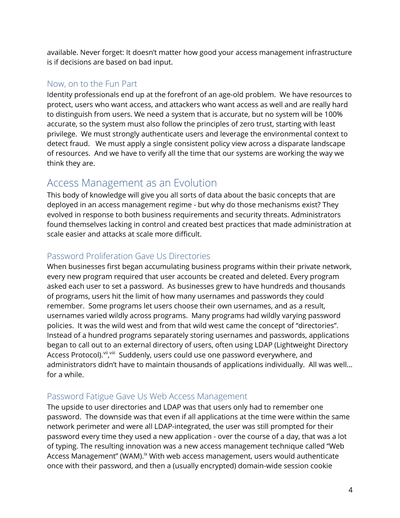available. Never forget: It doesn't matter how good your access management infrastructure is if decisions are based on bad input.

#### Now, on to the Fun Part

 Identity professionals end up at the forefront of an age-old problem. We have resources to protect, users who want access, and attackers who want access as well and are really hard accurate, so the system must also follow the principles of zero trust, starting with least privilege. We must strongly authenticate users and leverage the environmental context to detect fraud. We must apply a single consistent policy view across a disparate landscape of resources. And we have to verify all the time that our systems are working the way we to distinguish from users. We need a system that is accurate, but no system will be 100% think they are.

# Access Management as an Evolution

 This body of knowledge will give you all sorts of data about the basic concepts that are deployed in an access management regime - but why do those mechanisms exist? They evolved in response to both business requirements and security threats. Administrators found themselves lacking in control and created best practices that made administration at scale easier and attacks at scale more difficult.

# Password Proliferation Gave Us Directories

 When businesses first began accumulating business programs within their private network, every new program required that user accounts be created and deleted. Every program asked each user to set a password. As businesses grew to have hundreds and thousands of programs, users hit the limit of how many usernames and passwords they could usernames varied wildly across programs. Many programs had wildly varying password policies. It was the wild west and from that wild west came the concept of "directories". began to call out to an external directory of users, often using LDAP (Lightweight Directory Access Protocol).<sup>vii, viii</sup> Suddenly, users could use one password everywhere, and administrators didn't have to maintain thousands of applications individually. All was well... remember. Some programs let users choose their own usernames, and as a result, Instead of a hundred programs separately storing usernames and passwords, applications for a while.

## Password Fatigue Gave Us Web Access Management

 password. The downside was that even if all applications at the time were within the same network perimeter and were all LDAP-integrated, the user was still prompted for their password every time they used a new application - over the course of a day, that was a lot of typing. The resulting innovation was a new access management technique called "Web Access Management" (WAM).<sup>ix</sup> With web access management, users would authenticate once with their password, and then a (usually encrypted) domain-wide session cookie The upside to user directories and LDAP was that users only had to remember one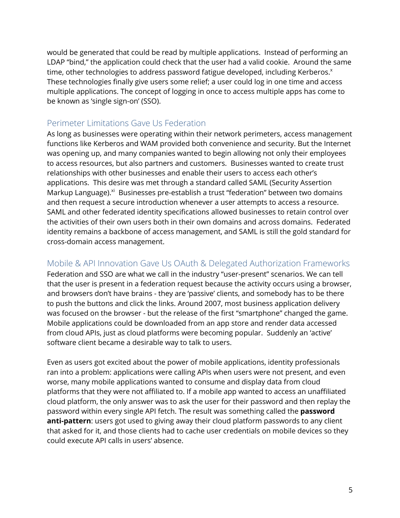would be generated that could be read by multiple applications. Instead of performing an LDAP "bind," the application could check that the user had a valid cookie. Around the same time, other technologies to address password fatigue developed, including Kerberos. $x$  These technologies finally give users some relief; a user could log in one time and access multiple applications. The concept of logging in once to access multiple apps has come to be known as 'single sign-on' (SSO).

#### Perimeter Limitations Gave Us Federation

 As long as businesses were operating within their network perimeters, access management was opening up, and many companies wanted to begin allowing not only their employees to access resources, but also partners and customers. Businesses wanted to create trust applications. This desire was met through a standard called SAML (Security Assertion Markup Language).<sup>xi</sup> Businesses pre-establish a trust "federation" between two domains and then request a secure introduction whenever a user attempts to access a resource. SAML and other federated identity specifications allowed businesses to retain control over the activities of their own users both in their own domains and across domains. Federated identity remains a backbone of access management, and SAML is still the gold standard for functions like Kerberos and WAM provided both convenience and security. But the Internet relationships with other businesses and enable their users to access each other's cross-domain access management.

#### Mobile & API Innovation Gave Us OAuth & Delegated Authorization Frameworks

 Federation and SSO are what we call in the industry "user-present" scenarios. We can tell and browsers don't have brains - they are 'passive' clients, and somebody has to be there was focused on the browser - but the release of the first "smartphone" changed the game. Mobile applications could be downloaded from an app store and render data accessed software client became a desirable way to talk to users. that the user is present in a federation request because the activity occurs using a browser, to push the buttons and click the links. Around 2007, most business application delivery from cloud APIs, just as cloud platforms were becoming popular. Suddenly an 'active'

 Even as users got excited about the power of mobile applications, identity professionals worse, many mobile applications wanted to consume and display data from cloud platforms that they were not affiliated to. If a mobile app wanted to access an unaffiliated password within every single API fetch. The result was something called the **password**  could execute API calls in users' absence. ran into a problem: applications were calling APIs when users were not present, and even cloud platform, the only answer was to ask the user for their password and then replay the **anti-pattern**: users got used to giving away their cloud platform passwords to any client that asked for it, and those clients had to cache user credentials on mobile devices so they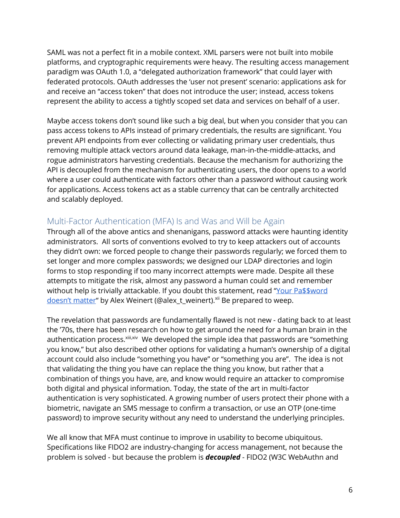SAML was not a perfect fit in a mobile context. XML parsers were not built into mobile paradigm was OAuth 1.0, a "delegated authorization framework" that could layer with federated protocols. OAuth addresses the 'user not present' scenario: applications ask for and receive an "access token" that does not introduce the user; instead, access tokens represent the ability to access a tightly scoped set data and services on behalf of a user. platforms, and cryptographic requirements were heavy. The resulting access management

 Maybe access tokens don't sound like such a big deal, but when you consider that you can pass access tokens to APIs instead of primary credentials, the results are significant. You prevent API endpoints from ever collecting or validating primary user credentials, thus removing multiple attack vectors around data leakage, man-in-the-middle-attacks, and API is decoupled from the mechanism for authenticating users, the door opens to a world where a user could authenticate with factors other than a password without causing work rogue administrators harvesting credentials. Because the mechanism for authorizing the for applications. Access tokens act as a stable currency that can be centrally architected and scalably deployed.

#### Multi-Factor Authentication (MFA) Is and Was and Will be Again

 Through all of the above antics and shenanigans, password attacks were haunting identity administrators. All sorts of conventions evolved to try to keep attackers out of accounts they didn't own: we forced people to change their passwords regularly; we forced them to set longer and more complex passwords; we designed our LDAP directories and login attempts to mitigate the risk, almost any password a human could set and remember without help is trivially attackable. If you doubt this statement, read "<u>Your Pa\$\$word</u> <u>doesn't matter</u>" by Alex Weinert (@alex\_t\_weinert).<sup>x</sup>" Be prepared to weep. <u>doesn't matter</u>" by Alex Weinert (@alex\_t\_weinert).<sup>xii</sup> Be prepared to weep.<br>The revelation that passwords are fundamentally flawed is not new - dating back to at least forms to stop responding if too many incorrect attempts were made. Despite all these

authentication process.<sup>xiii,xiv</sup> We developed the simple idea that passwords are "something you know," but also described other options for validating a human's ownership of a digital account could also include "something you have" or "something you are". The idea is not combination of things you have, are, and know would require an attacker to compromise both digital and physical information. Today, the state of the art in multi-factor authentication is very sophisticated. A growing number of users protect their phone with a biometric, navigate an SMS message to confirm a transaction, or use an OTP (one-time password) to improve security without any need to understand the underlying principles. the '70s, there has been research on how to get around the need for a human brain in the that validating the thing you have can replace the thing you know, but rather that a

 We all know that MFA must continue to improve in usability to become ubiquitous. problem is solved - but because the problem is *decoupled* - FIDO2 (W3C WebAuthn and Specifications like FIDO2 are industry-changing for access management, not because the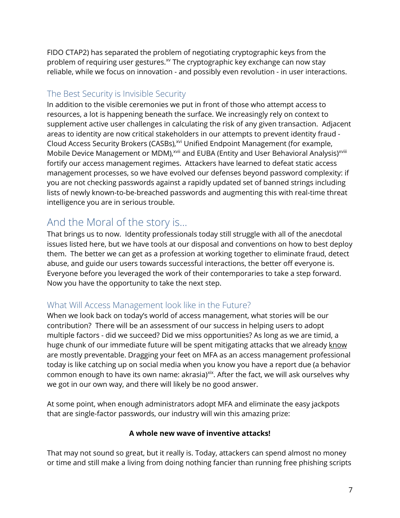FIDO CTAP2) has separated the problem of negotiating cryptographic keys from the problem of requiring user gestures.<sup>xv</sup> The cryptographic key exchange can now stay reliable, while we focus on innovation - and possibly even revolution - in user interactions.

# The Best Security is Invisible Security

 resources, a lot is happening beneath the surface. We increasingly rely on context to supplement active user challenges in calculating the risk of any given transaction. Adjacent areas to identity are now critical stakeholders in our attempts to prevent identity fraud - Cloud Access Security Brokers (CASBs),<sup>xvi</sup> Unified Endpoint Management (for example, Mobile Device Management or MDM),<sup>xvii</sup> and EUBA (Entity and User Behavioral Analysis)<sup>xviii</sup> management processes, so we have evolved our defenses beyond password complexity: if you are not checking passwords against a rapidly updated set of banned strings including In addition to the visible ceremonies we put in front of those who attempt access to fortify our access management regimes. Attackers have learned to defeat static access lists of newly known-to-be-breached passwords and augmenting this with real-time threat intelligence you are in serious trouble.

# And the Moral of the story is...

 That brings us to now. Identity professionals today still struggle with all of the anecdotal them. The better we can get as a profession at working together to eliminate fraud, detect abuse, and guide our users towards successful interactions, the better off everyone is. Everyone before you leveraged the work of their contemporaries to take a step forward. Now you have the opportunity to take the next step. issues listed here, but we have tools at our disposal and conventions on how to best deploy

## What Will Access Management look like in the Future?

 When we look back on today's world of access management, what stories will be our contribution? There will be an assessment of our success in helping users to adopt multiple factors - did we succeed? Did we miss opportunities? As long as we are timid, a huge chunk of our immediate future will be spent mitigating attacks that we already know are mostly preventable. Dragging your feet on MFA as an access management professional today is like catching up on social media when you know you have a report due (a behavior common enough to have its own name: akrasia)<sup>xix</sup>. After the fact, we will ask ourselves why we got in our own way, and there will likely be no good answer.

 At some point, when enough administrators adopt MFA and eliminate the easy jackpots that are single-factor passwords, our industry will win this amazing prize:

#### **A whole new wave of inventive attacks!**

 That may not sound so great, but it really is. Today, attackers can spend almost no money or time and still make a living from doing nothing fancier than running free phishing scripts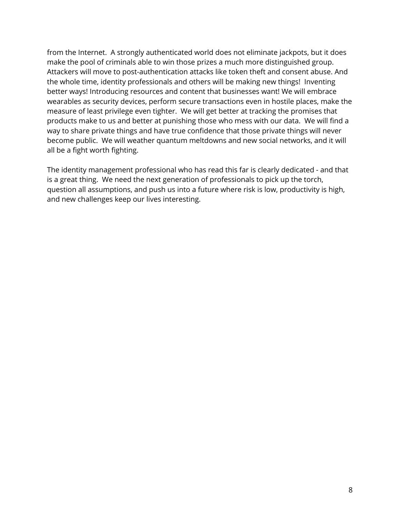make the pool of criminals able to win those prizes a much more distinguished group. Attackers will move to post-authentication attacks like token theft and consent abuse. And better ways! Introducing resources and content that businesses want! We will embrace wearables as security devices, perform secure transactions even in hostile places, make the measure of least privilege even tighter. We will get better at tracking the promises that products make to us and better at punishing those who mess with our data. We will find a way to share private things and have true confidence that those private things will never become public. We will weather quantum meltdowns and new social networks, and it will all be a fight worth fighting. from the Internet. A strongly authenticated world does not eliminate jackpots, but it does the whole time, identity professionals and others will be making new things! Inventing

 The identity management professional who has read this far is clearly dedicated - and that and new challenges keep our lives interesting. is a great thing. We need the next generation of professionals to pick up the torch, question all assumptions, and push us into a future where risk is low, productivity is high,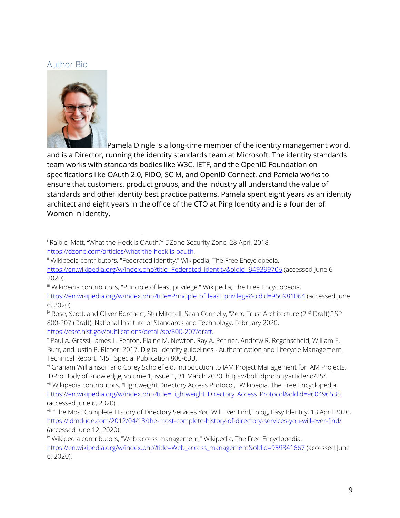#### Author Bio



 and is a Director, running the identity standards team at Microsoft. The identity standards ensure that customers, product groups, and the industry all understand the value of architect and eight years in the office of the CTO at Ping Identity and is a founder of Women in Identity. Pamela Dingle is a long-time member of the identity management world, team works with standards bodies like W3C, IETF, and the OpenID Foundation on specifications like OAuth 2.0, FIDO, SCIM, and OpenID Connect, and Pamela works to standards and other identity best practice patterns. Pamela spent eight years as an identity

 i Raible, Matt, "What the Heck is OAuth?" DZone Security Zone, 28 April 2018,

<sup>&</sup>lt;u>https://dzone.com/articles/what-the-heck-is-oauth</u>.<br><sup>ii</sup> Wikipedia contributors, "Federated identity," Wikipedia, The Free Encyclopedia, https://en.wikipedia.org/w/index.php?title=Federated\_identity&oldid=949399706 (accessed June 6, 2020).

 iii Wikipedia contributors, "Principle of least privilege," Wikipedia, The Free Encyclopedia,

 6, 2020). https://en.wikipedia.org/w/index.php?title=Principle\_of\_least\_privilege&oldid=950981064 (accessed June

<sup>&</sup>lt;sup>iv</sup> Rose, Scott, and Oliver Borchert, Stu Mitchell, Sean Connelly, "Zero Trust Architecture (2<sup>nd</sup> Draft)," SP 800-207 (Draft), National Institute of Standards and Technology, February 2020, https://csrc.nist.gov/publications/detail/sp/800-207/draft.

<sup>&</sup>lt;u>https://csrc.nist.gov/publications/detail/sp/800-207/draft</u>.<br><sup>v</sup> Paul A. Grassi, James L. Fenton, Elaine M. Newton, Ray A. Perlner, Andrew R. Regenscheid, William E. Burr, and Justin P. Richer. 2017. Digital identity guidelines - Authentication and Lifecycle Management. Technical Report. NIST Special Publication 800-63B.

vi Graham Williamson and Corey Scholefield. Introduction to IAM Project Management for IAM Projects. IDPro Body of Knowledge, volume 1, issue 1, 31 March 2020. https://bok.idpro.org/article/id/25/.

IDPro Body of Knowledge, volume 1, issue 1, 31 March 2020. https://bok.idpro.org/article/id/25/.<br><sup>vii</sup> Wikipedia contributors, "Lightweight Directory Access Protocol," Wikipedia, The Free Encyclopedia, https://en.wikipedia.org/w/index.php?title=Lightweight\_Directory\_Access\_Protocol&oldid=960496535 (accessed June 6, 2020).

 viii "The Most Complete History of Directory Services You Will Ever Find," blog, Easy Identity, 13 April 2020, https://idmdude.com/2012/04/13/the-most-complete-history-of-directory-services-you-will-ever-find/ (accessed June 12, 2020).

<sup>&</sup>lt;sup>ix</sup> Wikipedia contributors, "Web access management," Wikipedia, The Free Encyclopedia,

 6, 2020). https://en.wikipedia.org/w/index.php?title=Web\_access\_management&oldid=959341667 (accessed June